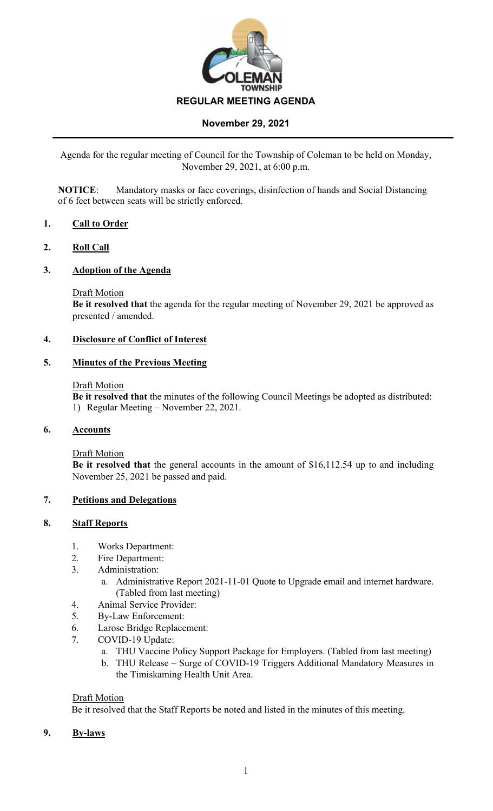

Agenda for the regular meeting of Council for the Township of Coleman to be held on Monday, November 29, 2021, at 6:00 p.m.

**NOTICE**: Mandatory masks or face coverings, disinfection of hands and Social Distancing of 6 feet between seats will be strictly enforced.

### **1. Call to Order**

### **2. Roll Call**

### **3. Adoption of the Agenda**

Draft Motion

**Be it resolved that** the agenda for the regular meeting of November 29, 2021 be approved as presented / amended.

## **4. Disclosure of Conflict of Interest**

### **5. Minutes of the Previous Meeting**

#### Draft Motion

**Be it resolved that** the minutes of the following Council Meetings be adopted as distributed: 1) Regular Meeting – November 22, 2021.

### **6. Accounts**

Draft Motion

**Be it resolved that** the general accounts in the amount of \$16,112.54 up to and including November 25, 2021 be passed and paid.

### **7. Petitions and Delegations**

### **8. Staff Reports**

- 1. Works Department:
- 2. Fire Department:
- 3. Administration:
	- a. Administrative Report 2021-11-01 Quote to Upgrade email and internet hardware. (Tabled from last meeting)
- 4. Animal Service Provider:
- 5. By-Law Enforcement:
- 6. Larose Bridge Replacement:
- 7. COVID-19 Update:
	- a. THU Vaccine Policy Support Package for Employers. (Tabled from last meeting)
	- b. THU Release Surge of COVID-19 Triggers Additional Mandatory Measures in the Timiskaming Health Unit Area.

#### Draft Motion

Be it resolved that the Staff Reports be noted and listed in the minutes of this meeting.

**9. By-laws**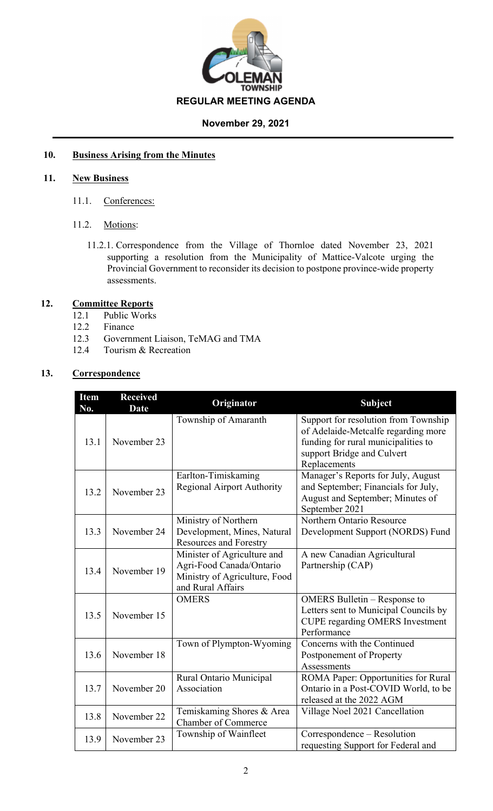

# **10. Business Arising from the Minutes**

## **11. New Business**

- 11.1. Conferences:
- 11.2. Motions:
	- 11.2.1. Correspondence from the Village of Thornloe dated November 23, 2021 supporting a resolution from the Municipality of Mattice-Valcote urging the Provincial Government to reconsider its decision to postpone province-wide property assessments.

# **12. Committee Reports**

- 12.1 Public Works
- 12.2 Finance
- 12.3 Government Liaison, TeMAG and TMA
- 12.4 Tourism & Recreation

# **13. Correspondence**

| <b>Item</b><br>No. | <b>Received</b><br><b>Date</b> | Originator                                                                                                    | <b>Subject</b>                                                                                                                                                   |  |
|--------------------|--------------------------------|---------------------------------------------------------------------------------------------------------------|------------------------------------------------------------------------------------------------------------------------------------------------------------------|--|
| 13.1               | November 23                    | Township of Amaranth                                                                                          | Support for resolution from Township<br>of Adelaide-Metcalfe regarding more<br>funding for rural municipalities to<br>support Bridge and Culvert<br>Replacements |  |
| 13.2               | November 23                    | Earlton-Timiskaming<br><b>Regional Airport Authority</b>                                                      | Manager's Reports for July, August<br>and September; Financials for July,<br>August and September; Minutes of<br>September 2021                                  |  |
| 13.3               | November 24                    | Ministry of Northern<br>Development, Mines, Natural<br><b>Resources and Forestry</b>                          | Northern Ontario Resource<br>Development Support (NORDS) Fund                                                                                                    |  |
| 13.4               | November 19                    | Minister of Agriculture and<br>Agri-Food Canada/Ontario<br>Ministry of Agriculture, Food<br>and Rural Affairs | A new Canadian Agricultural<br>Partnership (CAP)                                                                                                                 |  |
| 13.5               | November 15                    | <b>OMERS</b>                                                                                                  | OMERS Bulletin – Response to<br>Letters sent to Municipal Councils by<br><b>CUPE regarding OMERS Investment</b><br>Performance                                   |  |
| 13.6               | November 18                    | Town of Plympton-Wyoming                                                                                      | Concerns with the Continued<br>Postponement of Property<br>Assessments                                                                                           |  |
| 13.7               | November 20                    | Rural Ontario Municipal<br>Association                                                                        | ROMA Paper: Opportunities for Rural<br>Ontario in a Post-COVID World, to be<br>released at the 2022 AGM                                                          |  |
| 13.8               | November 22                    | Temiskaming Shores & Area<br><b>Chamber of Commerce</b>                                                       | Village Noel 2021 Cancellation                                                                                                                                   |  |
| 13.9               | November 23                    | Township of Wainfleet                                                                                         | Correspondence – Resolution<br>requesting Support for Federal and                                                                                                |  |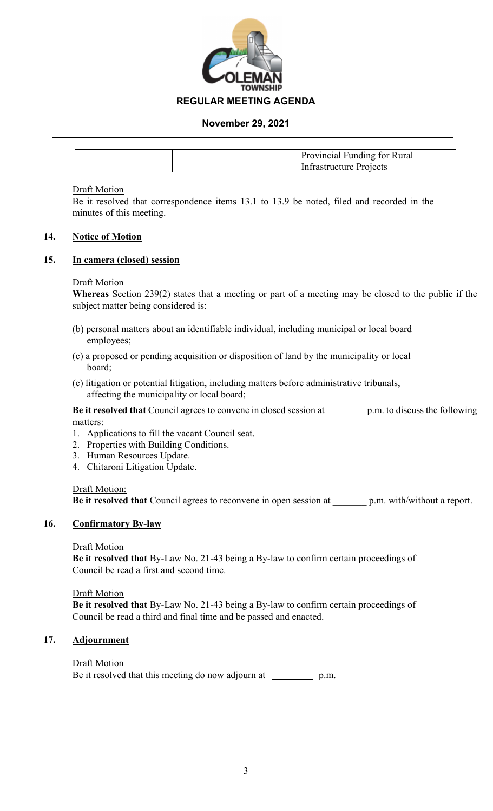

|  | Provincial Funding for Rural |
|--|------------------------------|
|  | Infrastructure Projects      |

### Draft Motion

Be it resolved that correspondence items 13.1 to 13.9 be noted, filed and recorded in the minutes of this meeting.

### **14. Notice of Motion**

### **15. In camera (closed) session**

### Draft Motion

**Whereas** Section 239(2) states that a meeting or part of a meeting may be closed to the public if the subject matter being considered is:

- (b) personal matters about an identifiable individual, including municipal or local board employees;
- (c) a proposed or pending acquisition or disposition of land by the municipality or local board;
- (e) litigation or potential litigation, including matters before administrative tribunals, affecting the municipality or local board;

**Be it resolved that** Council agrees to convene in closed session at p.m. to discuss the following matters:

- 1. Applications to fill the vacant Council seat.
- 2. Properties with Building Conditions.
- 3. Human Resources Update.
- 4. Chitaroni Litigation Update.

#### Draft Motion:

**Be it resolved that** Council agrees to reconvene in open session at \_\_\_\_\_\_\_ p.m. with/without a report.

### **16. Confirmatory By-law**

### Draft Motion

**Be it resolved that** By-Law No. 21-43 being a By-law to confirm certain proceedings of Council be read a first and second time.

Draft Motion

**Be it resolved that** By-Law No. 21-43 being a By-law to confirm certain proceedings of Council be read a third and final time and be passed and enacted.

## **17. Adjournment**

### **Draft Motion**

Be it resolved that this meeting do now adjourn at \_\_\_\_\_\_\_\_\_\_\_ p.m.